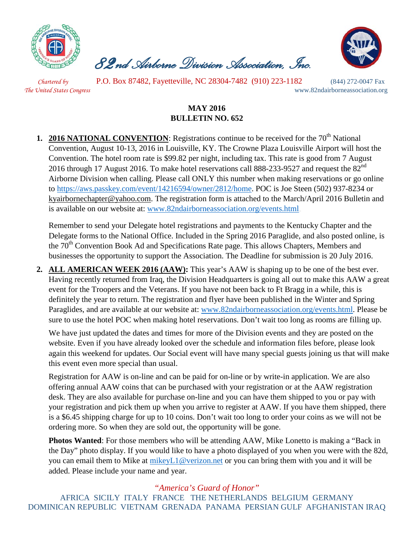

 *82nd Airborne Division Association, Inc.* 



*Chartered by* P.O. Box 87482, Fayetteville, NC 28304-7482 (910) 223-1182 (844) 272-0047 Fax *The United States Congress* www.82ndairborneassociation.org

## **MAY 2016 BULLETIN NO. 652**

**1. 2016 NATIONAL CONVENTION:** Registrations continue to be received for the 70<sup>th</sup> National Convention, August 10-13, 2016 in Louisville, KY. The Crowne Plaza Louisville Airport will host the Convention. The hotel room rate is \$99.82 per night, including tax. This rate is good from 7 August 2016 through 17 August 2016. To make hotel reservations call 888-233-9527 and request the  $82<sup>nd</sup>$ Airborne Division when calling. Please call ONLY this number when making reservations or go online to [https://aws.passkey.com/event/14216594/owner/2812/home.](https://aws.passkey.com/event/14216594/owner/2812/home) POC is Joe Steen (502) 937-8234 or [kyairbornechapter@yahoo.com.](mailto:kyairbornechapter@yahoo.com) The registration form is attached to the March/April 2016 Bulletin and is available on our website at: www.82ndairborneassociation.org/events.html

Remember to send your Delegate hotel registrations and payments to the Kentucky Chapter and the Delegate forms to the National Office. Included in the Spring 2016 Paraglide, and also posted online, is the  $70<sup>th</sup>$  Convention Book Ad and Specifications Rate page. This allows Chapters, Members and businesses the opportunity to support the Association. The Deadline for submission is 20 July 2016.

**2. ALL AMERICAN WEEK 2016 (AAW):** This year's AAW is shaping up to be one of the best ever. Having recently returned from Iraq, the Division Headquarters is going all out to make this AAW a great event for the Troopers and the Veterans. If you have not been back to Ft Bragg in a while, this is definitely the year to return. The registration and flyer have been published in the Winter and Spring Paraglides, and are available at our website at: [www.82ndairborneassociation.org/events.html.](http://www.82ndairborneassociation.org/events.html) Please be sure to use the hotel POC when making hotel reservations. Don't wait too long as rooms are filling up.

We have just updated the dates and times for more of the Division events and they are posted on the website. Even if you have already looked over the schedule and information files before, please look again this weekend for updates. Our Social event will have many special guests joining us that will make this event even more special than usual.

Registration for AAW is on-line and can be paid for on-line or by write-in application. We are also offering annual AAW coins that can be purchased with your registration or at the AAW registration desk. They are also available for purchase on-line and you can have them shipped to you or pay with your registration and pick them up when you arrive to register at AAW. If you have them shipped, there is a \$6.45 shipping charge for up to 10 coins. Don't wait too long to order your coins as we will not be ordering more. So when they are sold out, the opportunity will be gone.

**Photos Wanted**: For those members who will be attending AAW, Mike Lonetto is making a "Back in the Day" photo display. If you would like to have a photo displayed of you when you were with the 82d, you can email them to Mike at [mikeyL1@verizon.net](mailto:mikeyL1@verizon.net) or you can bring them with you and it will be added. Please include your name and year.

## *"America's Guard of Honor"*

AFRICA SICILY ITALY FRANCE THE NETHERLANDS BELGIUM GERMANY DOMINICAN REPUBLIC VIETNAM GRENADA PANAMA PERSIAN GULF AFGHANISTAN IRAQ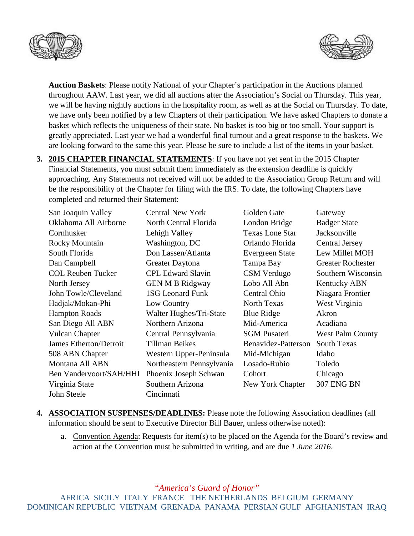



**Auction Baskets**: Please notify National of your Chapter's participation in the Auctions planned throughout AAW. Last year, we did all auctions after the Association's Social on Thursday. This year, we will be having nightly auctions in the hospitality room, as well as at the Social on Thursday. To date, we have only been notified by a few Chapters of their participation. We have asked Chapters to donate a basket which reflects the uniqueness of their state. No basket is too big or too small. Your support is greatly appreciated. Last year we had a wonderful final turnout and a great response to the baskets. We are looking forward to the same this year. Please be sure to include a list of the items in your basket.

**3. 2015 CHAPTER FINANCIAL STATEMENTS**: If you have not yet sent in the 2015 Chapter Financial Statements, you must submit them immediately as the extension deadline is quickly approaching. Any Statements not received will not be added to the Association Group Return and will be the responsibility of the Chapter for filing with the IRS. To date, the following Chapters have completed and returned their Statement:

| San Joaquin Valley             | <b>Central New York</b>   | Golden Gate            | Gateway                  |
|--------------------------------|---------------------------|------------------------|--------------------------|
| Oklahoma All Airborne          | North Central Florida     | London Bridge          | <b>Badger State</b>      |
| Cornhusker                     | Lehigh Valley             | <b>Texas Lone Star</b> | Jacksonville             |
| Rocky Mountain                 | Washington, DC            | Orlando Florida        | <b>Central Jersey</b>    |
| South Florida                  | Don Lassen/Atlanta        | Evergreen State        | Lew Millet MOH           |
| Dan Campbell                   | Greater Daytona           | Tampa Bay              | <b>Greater Rochester</b> |
| <b>COL Reuben Tucker</b>       | <b>CPL Edward Slavin</b>  | CSM Verdugo            | Southern Wisconsin       |
| North Jersey                   | <b>GEN M B Ridgway</b>    | Lobo All Abn           | <b>Kentucky ABN</b>      |
| John Towle/Cleveland           | <b>1SG Leonard Funk</b>   | Central Ohio           | Niagara Frontier         |
| Hadjak/Mokan-Phi               | Low Country               | <b>North Texas</b>     | West Virginia            |
| <b>Hampton Roads</b>           | Walter Hughes/Tri-State   | <b>Blue Ridge</b>      | Akron                    |
| San Diego All ABN              | Northern Arizona          | Mid-America            | Acadiana                 |
| <b>Vulcan Chapter</b>          | Central Pennsylvania      | <b>SGM Pusateri</b>    | <b>West Palm County</b>  |
| <b>James Etherton/Detroit</b>  | <b>Tillman Beikes</b>     | Benavidez-Patterson    | <b>South Texas</b>       |
| 508 ABN Chapter                | Western Upper-Peninsula   | Mid-Michigan           | Idaho                    |
| Montana All ABN                | Northeastern Pennsylvania | Losado-Rubio           | Toledo                   |
| <b>Ben Vandervoort/SAH/HHI</b> | Phoenix Joseph Schwan     | Cohort                 | Chicago                  |
| Virginia State                 | Southern Arizona          | New York Chapter       | 307 ENG BN               |
| John Steele                    | Cincinnati                |                        |                          |

- **4. ASSOCIATION SUSPENSES/DEADLINES:** Please note the following Association deadlines (all information should be sent to Executive Director Bill Bauer, unless otherwise noted):
	- a. Convention Agenda: Requests for item(s) to be placed on the Agenda for the Board's review and action at the Convention must be submitted in writing, and are due *1 June 2016*.

*"America's Guard of Honor"*

AFRICA SICILY ITALY FRANCE THE NETHERLANDS BELGIUM GERMANY DOMINICAN REPUBLIC VIETNAM GRENADA PANAMA PERSIAN GULF AFGHANISTAN IRAQ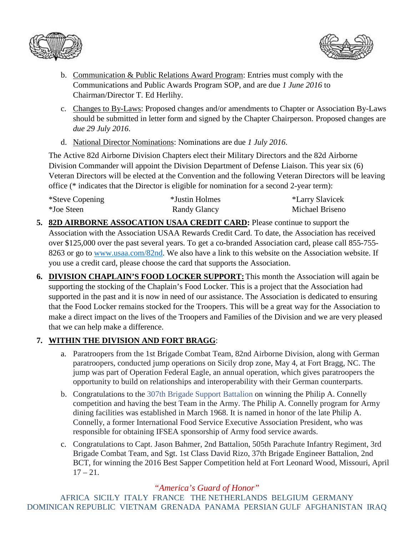



- b. Communication & Public Relations Award Program: Entries must comply with the Communications and Public Awards Program SOP, and are due *1 June 2016* to Chairman/Director T. Ed Herlihy.
- c. Changes to By-Laws: Proposed changes and/or amendments to Chapter or Association By-Laws should be submitted in letter form and signed by the Chapter Chairperson. Proposed changes are *due 29 July 2016*.
- d. National Director Nominations: Nominations are due *1 July 2016*.

The Active 82d Airborne Division Chapters elect their Military Directors and the 82d Airborne Division Commander will appoint the Division Department of Defense Liaison. This year six (6) Veteran Directors will be elected at the Convention and the following Veteran Directors will be leaving office (\* indicates that the Director is eligible for nomination for a second 2-year term):

| *Steve Copening<br>*Joe Steen | *Justin Holmes | <i>*Larry Slavicek</i> |
|-------------------------------|----------------|------------------------|
|                               | Randy Glancy   | Michael Briseno        |

- **5. 82D AIRBORNE ASSOCATION USAA CREDIT CARD:** Please continue to support the Association with the Association USAA Rewards Credit Card. To date, the Association has received over \$125,000 over the past several years. To get a co-branded Association card, please call 855-755- 8263 or go to [www.usaa.com/82nd.](http://www.usaa.com/82nd) We also have a link to this website on the Association website. If you use a credit card, please choose the card that supports the Association.
- **6. DIVISION CHAPLAIN'S FOOD LOCKER SUPPORT:** This month the Association will again be supporting the stocking of the Chaplain's Food Locker. This is a project that the Association had supported in the past and it is now in need of our assistance. The Association is dedicated to ensuring that the Food Locker remains stocked for the Troopers. This will be a great way for the Association to make a direct impact on the lives of the Troopers and Families of the Division and we are very pleased that we can help make a difference.

## **7. WITHIN THE DIVISION AND FORT BRAGG**:

- a. Paratroopers from the 1st Brigade Combat Team, 82nd Airborne Division, along with German paratroopers, conducted jump operations on Sicily drop zone, May 4, at Fort Bragg, NC. The jump was part of Operation Federal Eagle, an annual operation, which gives paratroopers the opportunity to build on relationships and interoperability with their German counterparts.
- b. Congratulations to the [307th Brigade Support Battalion](https://www.facebook.com/307th-Brigade-Support-Battalion-105443661733/) on winning the Philip A. Connelly competition and having the best Team in the Army. The Philip A. Connelly program for Army dining facilities was established in March 1968. It is named in honor of the late Philip A. Connelly, a former International Food Service Executive Association President, who was responsible for obtaining IFSEA sponsorship of Army food service awards.
- c. Congratulations to Capt. Jason Bahmer, 2nd Battalion, 505th Parachute Infantry Regiment, 3rd Brigade Combat Team, and Sgt. 1st Class David Rizo, 37th Brigade Engineer Battalion, 2nd BCT, for winning the 2016 Best Sapper Competition held at Fort Leonard Wood, Missouri, April  $17 - 21$ .

## *"America's Guard of Honor"*

AFRICA SICILY ITALY FRANCE THE NETHERLANDS BELGIUM GERMANY DOMINICAN REPUBLIC VIETNAM GRENADA PANAMA PERSIAN GULF AFGHANISTAN IRAQ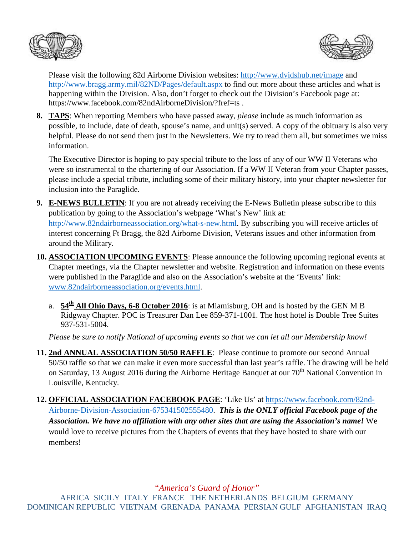



Please visit the following 82d Airborne Division websites: <http://www.dvidshub.net/image> and <http://www.bragg.army.mil/82ND/Pages/default.aspx> to find out more about these articles and what is happening within the Division. Also, don't forget to check out the Division's Facebook page at: https://www.facebook.com/82ndAirborneDivision/?fref=ts .

**8. TAPS**: When reporting Members who have passed away, *please* include as much information as possible, to include, date of death, spouse's name, and unit(s) served. A copy of the obituary is also very helpful. Please do not send them just in the Newsletters. We try to read them all, but sometimes we miss information.

The Executive Director is hoping to pay special tribute to the loss of any of our WW II Veterans who were so instrumental to the chartering of our Association. If a WW II Veteran from your Chapter passes, please include a special tribute, including some of their military history, into your chapter newsletter for inclusion into the Paraglide.

- **9. E-NEWS BULLETIN**: If you are not already receiving the E-News Bulletin please subscribe to this publication by going to the Association's webpage 'What's New' link at: [http://www.82ndairborneassociation.org/what-s-new.html.](http://www.82ndairborneassociation.org/what-s-new.html) By subscribing you will receive articles of interest concerning Ft Bragg, the 82d Airborne Division, Veterans issues and other information from around the Military.
- **10. ASSOCIATION UPCOMING EVENTS**: Please announce the following upcoming regional events at Chapter meetings, via the Chapter newsletter and website. Registration and information on these events were published in the Paraglide and also on the Association's website at the 'Events' link: [www.82ndairborneassociation.org/events.html.](http://www.82ndairborneassociation.org/events.html)
	- a. **54<sup>th</sup> All Ohio Days, 6-8 October 2016**: is at Miamisburg, OH and is hosted by the GEN M B Ridgway Chapter. POC is Treasurer Dan Lee 859-371-1001. The host hotel is Double Tree Suites 937-531-5004.

*Please be sure to notify National of upcoming events so that we can let all our Membership know!*

- **11. 2nd ANNUAL ASSOCIATION 50/50 RAFFLE**: Please continue to promote our second Annual 50/50 raffle so that we can make it even more successful than last year's raffle. The drawing will be held on Saturday, 13 August 2016 during the Airborne Heritage Banquet at our 70<sup>th</sup> National Convention in Louisville, Kentucky.
- **12. OFFICIAL ASSOCIATION FACEBOOK PAGE**: 'Like Us' at [https://www.facebook.com/82nd-](https://www.facebook.com/82nd-Airborne-Division-Association-675341502555480)[Airborne-Division-Association-675341502555480.](https://www.facebook.com/82nd-Airborne-Division-Association-675341502555480) *This is the ONLY official Facebook page of the Association. We have no affiliation with any other sites that are using the Association's name!* We would love to receive pictures from the Chapters of events that they have hosted to share with our members!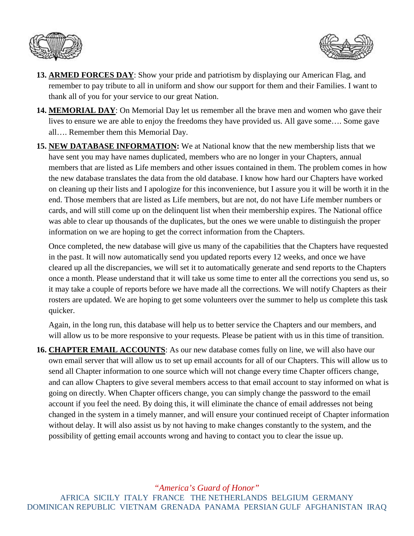



- **13. ARMED FORCES DAY**: Show your pride and patriotism by displaying our American Flag, and remember to pay tribute to all in uniform and show our support for them and their Families. I want to thank all of you for your service to our great Nation.
- **14. MEMORIAL DAY**: On Memorial Day let us remember all the brave men and women who gave their lives to ensure we are able to enjoy the freedoms they have provided us. All gave some…. Some gave all…. Remember them this Memorial Day.
- **15. NEW DATABASE INFORMATION:** We at National know that the new membership lists that we have sent you may have names duplicated, members who are no longer in your Chapters, annual members that are listed as Life members and other issues contained in them. The problem comes in how the new database translates the data from the old database. I know how hard our Chapters have worked on cleaning up their lists and I apologize for this inconvenience, but I assure you it will be worth it in the end. Those members that are listed as Life members, but are not, do not have Life member numbers or cards, and will still come up on the delinquent list when their membership expires. The National office was able to clear up thousands of the duplicates, but the ones we were unable to distinguish the proper information on we are hoping to get the correct information from the Chapters.

Once completed, the new database will give us many of the capabilities that the Chapters have requested in the past. It will now automatically send you updated reports every 12 weeks, and once we have cleared up all the discrepancies, we will set it to automatically generate and send reports to the Chapters once a month. Please understand that it will take us some time to enter all the corrections you send us, so it may take a couple of reports before we have made all the corrections. We will notify Chapters as their rosters are updated. We are hoping to get some volunteers over the summer to help us complete this task quicker.

Again, in the long run, this database will help us to better service the Chapters and our members, and will allow us to be more responsive to your requests. Please be patient with us in this time of transition.

**16. CHAPTER EMAIL ACCOUNTS**: As our new database comes fully on line, we will also have our own email server that will allow us to set up email accounts for all of our Chapters. This will allow us to send all Chapter information to one source which will not change every time Chapter officers change, and can allow Chapters to give several members access to that email account to stay informed on what is going on directly. When Chapter officers change, you can simply change the password to the email account if you feel the need. By doing this, it will eliminate the chance of email addresses not being changed in the system in a timely manner, and will ensure your continued receipt of Chapter information without delay. It will also assist us by not having to make changes constantly to the system, and the possibility of getting email accounts wrong and having to contact you to clear the issue up.

*"America's Guard of Honor"* AFRICA SICILY ITALY FRANCE THE NETHERLANDS BELGIUM GERMANY DOMINICAN REPUBLIC VIETNAM GRENADA PANAMA PERSIAN GULF AFGHANISTAN IRAQ